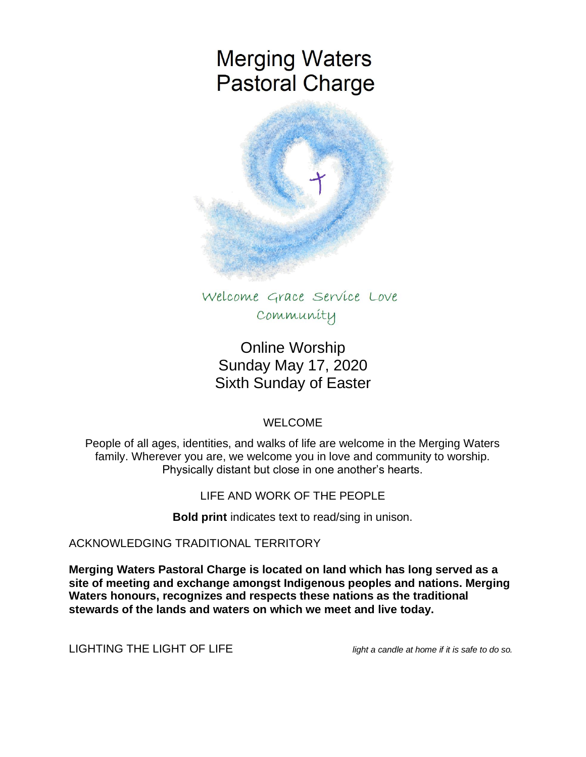# **Merging Waters Pastoral Charge**



Welcome Grace Service Love Community

Online Worship Sunday May 17, 2020 Sixth Sunday of Easter

# WELCOME

People of all ages, identities, and walks of life are welcome in the Merging Waters family. Wherever you are, we welcome you in love and community to worship. Physically distant but close in one another's hearts.

LIFE AND WORK OF THE PEOPLE

**Bold print** indicates text to read/sing in unison.

ACKNOWLEDGING TRADITIONAL TERRITORY

**Merging Waters Pastoral Charge is located on land which has long served as a site of meeting and exchange amongst Indigenous peoples and nations. Merging Waters honours, recognizes and respects these nations as the traditional stewards of the lands and waters on which we meet and live today.**

LIGHTING THE LIGHT OF LIFE *light a candle at home if it is safe to do so.*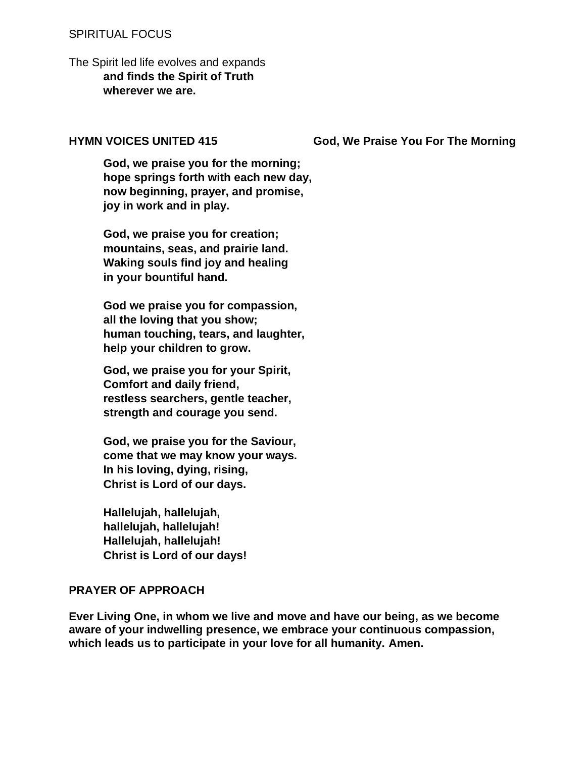#### SPIRITUAL FOCUS

The Spirit led life evolves and expands **and finds the Spirit of Truth wherever we are.**

**HYMN VOICES UNITED 415 God, We Praise You For The Morning**

**God, we praise you for the morning; hope springs forth with each new day, now beginning, prayer, and promise, joy in work and in play.**

**God, we praise you for creation; mountains, seas, and prairie land. Waking souls find joy and healing in your bountiful hand.**

**God we praise you for compassion, all the loving that you show; human touching, tears, and laughter, help your children to grow.**

**God, we praise you for your Spirit, Comfort and daily friend, restless searchers, gentle teacher, strength and courage you send.**

**God, we praise you for the Saviour, come that we may know your ways. In his loving, dying, rising, Christ is Lord of our days.**

**Hallelujah, hallelujah, hallelujah, hallelujah! Hallelujah, hallelujah! Christ is Lord of our days!**

## **PRAYER OF APPROACH**

**Ever Living One, in whom we live and move and have our being, as we become aware of your indwelling presence, we embrace your continuous compassion, which leads us to participate in your love for all humanity. Amen.**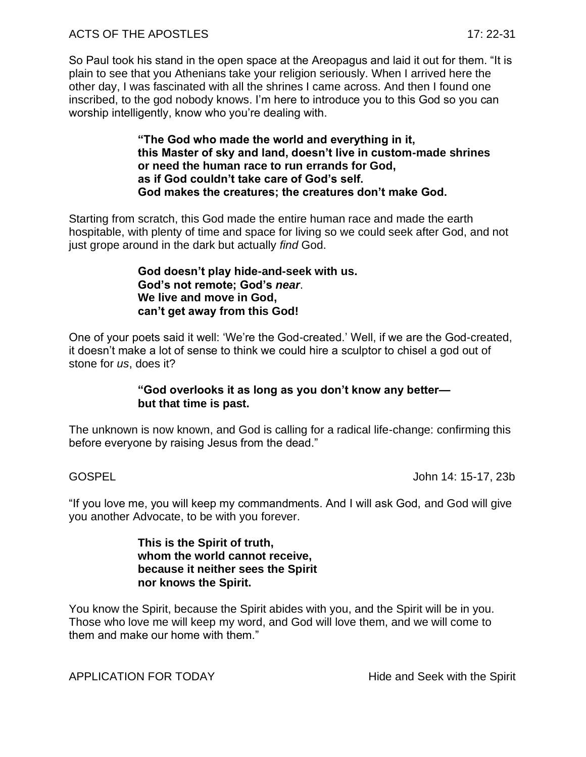So Paul took his stand in the open space at the Areopagus and laid it out for them. "It is plain to see that you Athenians take your religion seriously. When I arrived here the other day, I was fascinated with all the shrines I came across. And then I found one inscribed, to the god nobody knows. I'm here to introduce you to this God so you can worship intelligently, know who you're dealing with.

> **"The God who made the world and everything in it, this Master of sky and land, doesn't live in custom-made shrines or need the human race to run errands for God, as if God couldn't take care of God's self. God makes the creatures; the creatures don't make God.**

Starting from scratch, this God made the entire human race and made the earth hospitable, with plenty of time and space for living so we could seek after God, and not just grope around in the dark but actually *find* God.

> **God doesn't play hide-and-seek with us. God's not remote; God's** *near*. **We live and move in God, can't get away from this God!**

One of your poets said it well: 'We're the God-created.' Well, if we are the God-created, it doesn't make a lot of sense to think we could hire a sculptor to chisel a god out of stone for *us*, does it?

### **"God overlooks it as long as you don't know any better but that time is past.**

The unknown is now known, and God is calling for a radical life-change: confirming this before everyone by raising Jesus from the dead."

GOSPEL John 14: 15-17, 23b

"If you love me, you will keep my commandments. And I will ask God, and God will give you another Advocate, to be with you forever.

> **This is the Spirit of truth, whom the world cannot receive, because it neither sees the Spirit nor knows the Spirit.**

You know the Spirit, because the Spirit abides with you, and the Spirit will be in you. Those who love me will keep my word, and God will love them, and we will come to them and make our home with them."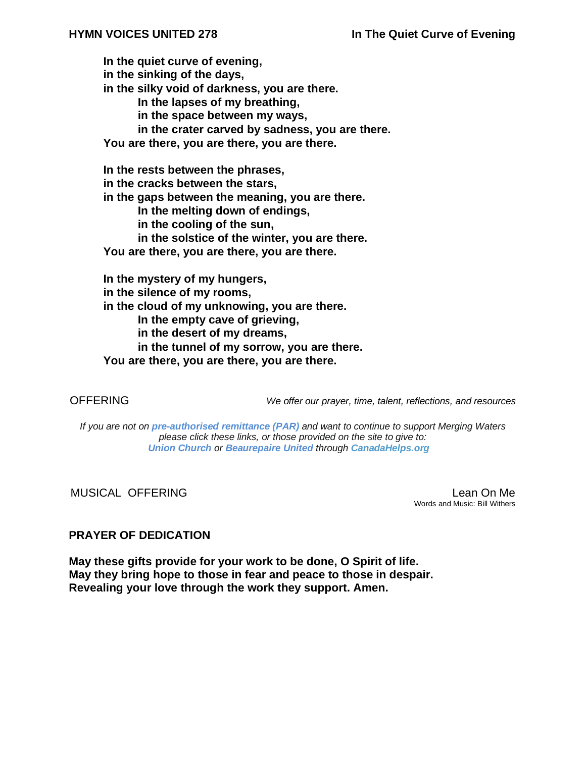**In the quiet curve of evening, in the sinking of the days, in the silky void of darkness, you are there. In the lapses of my breathing, in the space between my ways, in the crater carved by sadness, you are there. You are there, you are there, you are there. In the rests between the phrases, in the cracks between the stars, in the gaps between the meaning, you are there. In the melting down of endings, in the cooling of the sun, in the solstice of the winter, you are there. You are there, you are there, you are there. In the mystery of my hungers, in the silence of my rooms, in the cloud of my unknowing, you are there.**

**In the empty cave of grieving,**

**in the desert of my dreams,**

**in the tunnel of my sorrow, you are there.**

**You are there, you are there, you are there.**

OFFERING *We offer our prayer, time, talent, reflections, and resources*

*If you are not on pre-authorised [remittance \(PAR\)](http://mergingwaters.ca/mt-content/uploads/2020/03/form_par-authorization.pdf) and want to continue to support Merging Waters please click these links, or those provided on the site to give to: [Union Church](https://www.canadahelps.org/en/charities/union-church-ste-anne-de-bellevue/) o[r](https://www.canadahelps.org/en/charities/beaurepaire-united-church/) [Beaurepaire United](https://www.canadahelps.org/en/charities/beaurepaire-united-church/) through [CanadaHelps.org](http://www.canadahelps.org/)* 

MUSICAL OFFERING Lean On Me

Words and Music: Bill Withers

### **PRAYER OF DEDICATION**

**May these gifts provide for your work to be done, O Spirit of life. May they bring hope to those in fear and peace to those in despair. Revealing your love through the work they support. Amen.**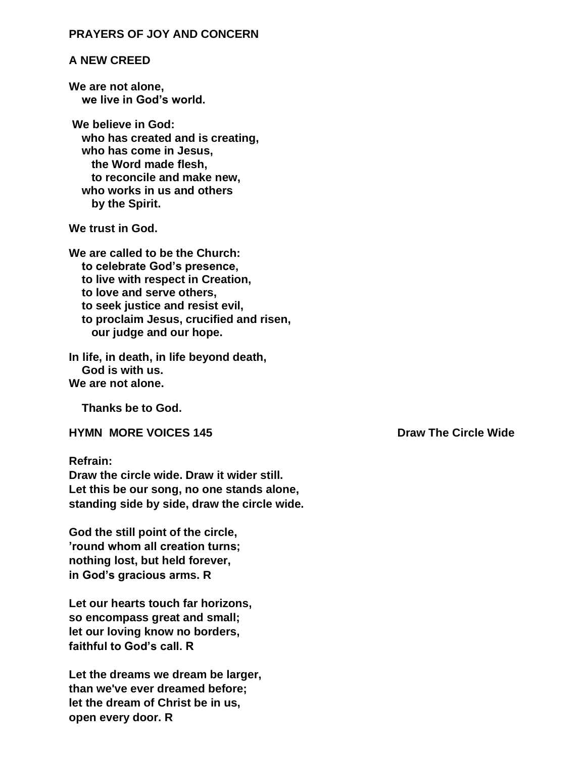#### **PRAYERS OF JOY AND CONCERN**

#### **A NEW CREED**

**We are not alone, we live in God's world.**

**We believe in God: who has created and is creating, who has come in Jesus, the Word made flesh, to reconcile and make new, who works in us and others by the Spirit.**

**We trust in God.**

**We are called to be the Church: to celebrate God's presence, to live with respect in Creation, to love and serve others, to seek justice and resist evil, to proclaim Jesus, crucified and risen, our judge and our hope.**

**In life, in death, in life beyond death, God is with us. We are not alone.**

 **Thanks be to God.**

**HYMN MORE VOICES 145 Draw The Circle Wide** 

**Refrain:**

**Draw the circle wide. Draw it wider still. Let this be our song, no one stands alone, standing side by side, draw the circle wide.**

**God the still point of the circle, 'round whom all creation turns; nothing lost, but held forever, in God's gracious arms. R**

**Let our hearts touch far horizons, so encompass great and small; let our loving know no borders, faithful to God's call. R**

**Let the dreams we dream be larger, than we've ever dreamed before; let the dream of Christ be in us, open every door. R**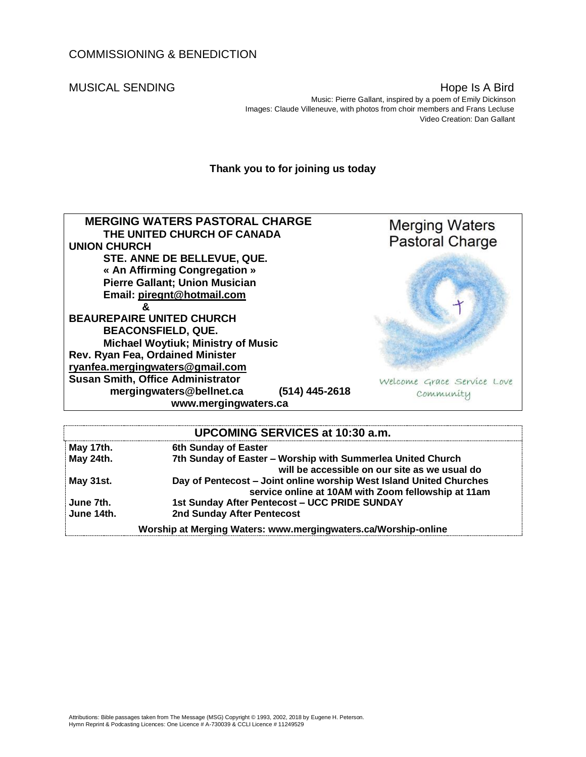MUSICAL SENDING **Hope Is A Bird**  Music: Pierre Gallant, inspired by a poem of Emily Dickinson Images: Claude Villeneuve, with photos from choir members and Frans Lecluse Video Creation: Dan Gallant

**Thank you to for joining us today**



| <b>UPCOMING SERVICES at 10:30 a.m.</b>                         |                                                                     |
|----------------------------------------------------------------|---------------------------------------------------------------------|
| May 17th.                                                      | 6th Sunday of Easter                                                |
| May 24th.                                                      | 7th Sunday of Easter - Worship with Summerlea United Church         |
|                                                                | will be accessible on our site as we usual do                       |
| May 31st.                                                      | Day of Pentecost - Joint online worship West Island United Churches |
|                                                                | service online at 10AM with Zoom fellowship at 11am                 |
| June 7th.                                                      | 1st Sunday After Pentecost - UCC PRIDE SUNDAY                       |
| June 14th.                                                     | 2nd Sunday After Pentecost                                          |
| Worship at Merging Waters: www.mergingwaters.ca/Worship-online |                                                                     |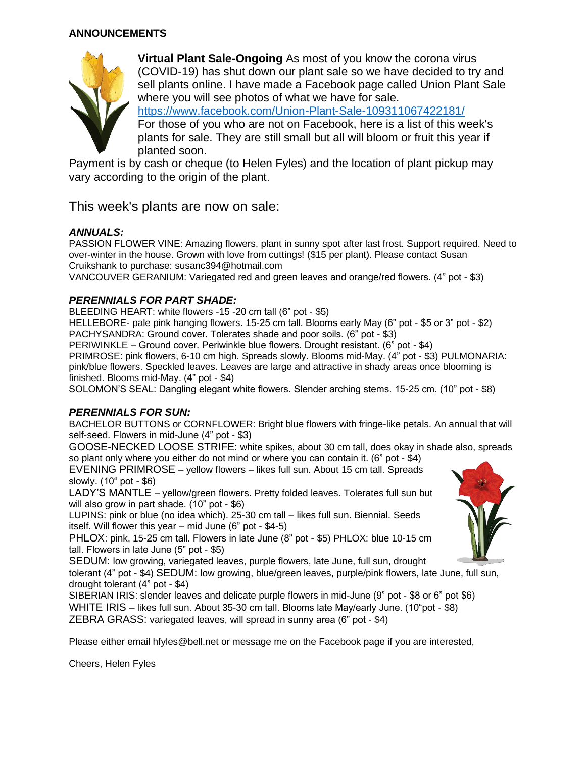#### **ANNOUNCEMENTS**



**Virtual Plant Sale-Ongoing** As most of you know the corona virus (COVID-19) has shut down our plant sale so we have decided to try and sell plants online. I have made a Facebook page called Union Plant Sale where you will see photos of what we have for sale. <https://www.facebook.com/Union-Plant-Sale-109311067422181/> For those of you who are not on Facebook, here is a list of this week's plants for sale. They are still small but all will bloom or fruit this year if planted soon.

Payment is by cash or cheque (to Helen Fyles) and the location of plant pickup may vary according to the origin of the plant.

This week's plants are now on sale:

#### *ANNUALS:*

PASSION FLOWER VINE: Amazing flowers, plant in sunny spot after last frost. Support required. Need to over-winter in the house. Grown with love from cuttings! (\$15 per plant). Please contact Susan Cruikshank to purchase: susanc394@hotmail.com

VANCOUVER GERANIUM: Variegated red and green leaves and orange/red flowers. (4" pot - \$3)

#### *PERENNIALS FOR PART SHADE:*

BLEEDING HEART: white flowers -15 -20 cm tall (6" pot - \$5)

HELLEBORE- pale pink hanging flowers. 15-25 cm tall. Blooms early May (6" pot - \$5 or 3" pot - \$2) PACHYSANDRA: Ground cover. Tolerates shade and poor soils. (6" pot - \$3)

PERIWINKLE – Ground cover. Periwinkle blue flowers. Drought resistant. (6" pot - \$4)

PRIMROSE: pink flowers, 6-10 cm high. Spreads slowly. Blooms mid-May. (4" pot - \$3) PULMONARIA: pink/blue flowers. Speckled leaves. Leaves are large and attractive in shady areas once blooming is finished. Blooms mid-May. (4" pot - \$4)

SOLOMON'S SEAL: Dangling elegant white flowers. Slender arching stems. 15-25 cm. (10" pot - \$8)

#### *PERENNIALS FOR SUN:*

BACHELOR BUTTONS or CORNFLOWER: Bright blue flowers with fringe-like petals. An annual that will self-seed. Flowers in mid-June (4" pot - \$3)

GOOSE-NECKED LOOSE STRIFE: white spikes, about 30 cm tall, does okay in shade also, spreads so plant only where you either do not mind or where you can contain it. (6" pot - \$4)

EVENING PRIMROSE – yellow flowers – likes full sun. About 15 cm tall. Spreads slowly. (10" pot - \$6)

LADY'S MANTLE – yellow/green flowers. Pretty folded leaves. Tolerates full sun but will also grow in part shade. (10" pot - \$6)

LUPINS: pink or blue (no idea which). 25-30 cm tall – likes full sun. Biennial. Seeds itself. Will flower this year – mid June (6" pot - \$4-5)

PHLOX: pink, 15-25 cm tall. Flowers in late June (8" pot - \$5) PHLOX: blue 10-15 cm tall. Flowers in late June (5" pot - \$5)

SEDUM: low growing, variegated leaves, purple flowers, late June, full sun, drought tolerant (4" pot - \$4) SEDUM: low growing, blue/green leaves, purple/pink flowers, late June, full sun, drought tolerant (4" pot - \$4)

SIBERIAN IRIS: slender leaves and delicate purple flowers in mid-June (9" pot - \$8 or 6" pot \$6) WHITE IRIS – likes full sun. About 35-30 cm tall. Blooms late May/early June. (10"pot - \$8) ZEBRA GRASS: variegated leaves, will spread in sunny area (6" pot - \$4)

Please either email hfyles@bell.net or message me on the Facebook page if you are interested,

Cheers, Helen Fyles

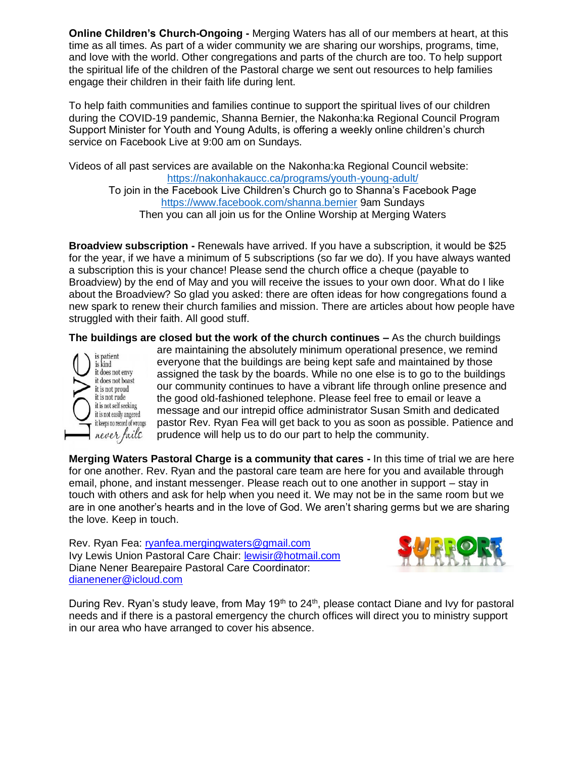**Online Children's Church-Ongoing -** Merging Waters has all of our members at heart, at this time as all times. As part of a wider community we are sharing our worships, programs, time, and love with the world. Other congregations and parts of the church are too. To help support the spiritual life of the children of the Pastoral charge we sent out resources to help families engage their children in their faith life during lent.

To help faith communities and families continue to support the spiritual lives of our children during the COVID-19 pandemic, Shanna Bernier, the Nakonha:ka Regional Council Program Support Minister for Youth and Young Adults, is offering a weekly online children's church service on Facebook Live at 9:00 am on Sundays.

Videos of all past services are available on the Nakonha:ka Regional Council website: <https://nakonhakaucc.ca/programs/youth-young-adult/> To join in the Facebook Live Children's Church go to Shanna's Facebook Page <https://www.facebook.com/shanna.bernier> 9am Sundays Then you can all join us for the Online Worship at Merging Waters

**Broadview subscription -** Renewals have arrived. If you have a subscription, it would be \$25 for the year, if we have a minimum of 5 subscriptions (so far we do). If you have always wanted a subscription this is your chance! Please send the church office a cheque (payable to Broadview) by the end of May and you will receive the issues to your own door. What do I like about the Broadview? So glad you asked: there are often ideas for how congregations found a new spark to renew their church families and mission. There are articles about how people have struggled with their faith. All good stuff.

**The buildings are closed but the work of the church continues –** As the church buildings



are maintaining the absolutely minimum operational presence, we remind everyone that the buildings are being kept safe and maintained by those assigned the task by the boards. While no one else is to go to the buildings our community continues to have a vibrant life through online presence and the good old-fashioned telephone. Please feel free to email or leave a message and our intrepid office administrator Susan Smith and dedicated pastor Rev. Ryan Fea will get back to you as soon as possible. Patience and prudence will help us to do our part to help the community.

**Merging Waters Pastoral Charge is a community that cares -** In this time of trial we are here for one another. Rev. Ryan and the pastoral care team are here for you and available through email, phone, and instant messenger. Please reach out to one another in support – stay in touch with others and ask for help when you need it. We may not be in the same room but we are in one another's hearts and in the love of God. We aren't sharing germs but we are sharing the love. Keep in touch.

Rev. Ryan Fea: [ryanfea.mergingwaters@gmail.com](mailto:ryanfea.mergingwaters@gmail.com) Ivy Lewis Union Pastoral Care Chair: [lewisir@hotmail.com](mailto:lewisir@hotmail.com) Diane Nener Bearepaire Pastoral Care Coordinator: [dianenener@icloud.com](mailto:dianenener@icloud.com)



During Rev. Ryan's study leave, from May 19<sup>th</sup> to 24<sup>th</sup>, please contact Diane and Ivy for pastoral needs and if there is a pastoral emergency the church offices will direct you to ministry support in our area who have arranged to cover his absence.